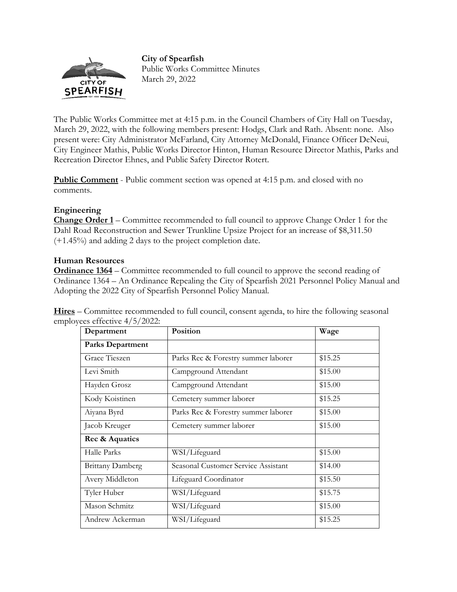



Public Works Committee Minutes March 29, 2022

The Public Works Committee met at 4:15 p.m. in the Council Chambers of City Hall on Tuesday, March 29, 2022, with the following members present: Hodgs, Clark and Rath. Absent: none. Also present were: City Administrator McFarland, City Attorney McDonald, Finance Officer DeNeui, City Engineer Mathis, Public Works Director Hinton, Human Resource Director Mathis, Parks and Recreation Director Ehnes, and Public Safety Director Rotert.

**Public Comment** - Public comment section was opened at 4:15 p.m. and closed with no comments.

## **Engineering**

**Change Order 1** – Committee recommended to full council to approve Change Order 1 for the Dahl Road Reconstruction and Sewer Trunkline Upsize Project for an increase of \$8,311.50 (+1.45%) and adding 2 days to the project completion date.

## **Human Resources**

**Ordinance 1364** – Committee recommended to full council to approve the second reading of Ordinance 1364 – An Ordinance Repealing the City of Spearfish 2021 Personnel Policy Manual and Adopting the 2022 City of Spearfish Personnel Policy Manual.

**Hires** – Committee recommended to full council, consent agenda, to hire the following seasonal employees effective 4/5/2022:

| Department              | Position                            | Wage    |
|-------------------------|-------------------------------------|---------|
| <b>Parks Department</b> |                                     |         |
| Grace Tieszen           | Parks Rec & Forestry summer laborer | \$15.25 |
| Levi Smith              | Campground Attendant                | \$15.00 |
| Hayden Grosz            | Campground Attendant                | \$15.00 |
| Kody Koistinen          | Cemetery summer laborer             | \$15.25 |
| Aiyana Byrd             | Parks Rec & Forestry summer laborer | \$15.00 |
| Jacob Kreuger           | Cemetery summer laborer             | \$15.00 |
| Rec & Aquatics          |                                     |         |
| Halle Parks             | WSI/Lifeguard                       | \$15.00 |
| <b>Brittany Damberg</b> | Seasonal Customer Service Assistant | \$14.00 |
| Avery Middleton         | Lifeguard Coordinator               | \$15.50 |
| Tyler Huber             | WSI/Lifeguard                       | \$15.75 |
| Mason Schmitz           | WSI/Lifeguard                       | \$15.00 |
| Andrew Ackerman         | WSI/Lifeguard                       | \$15.25 |